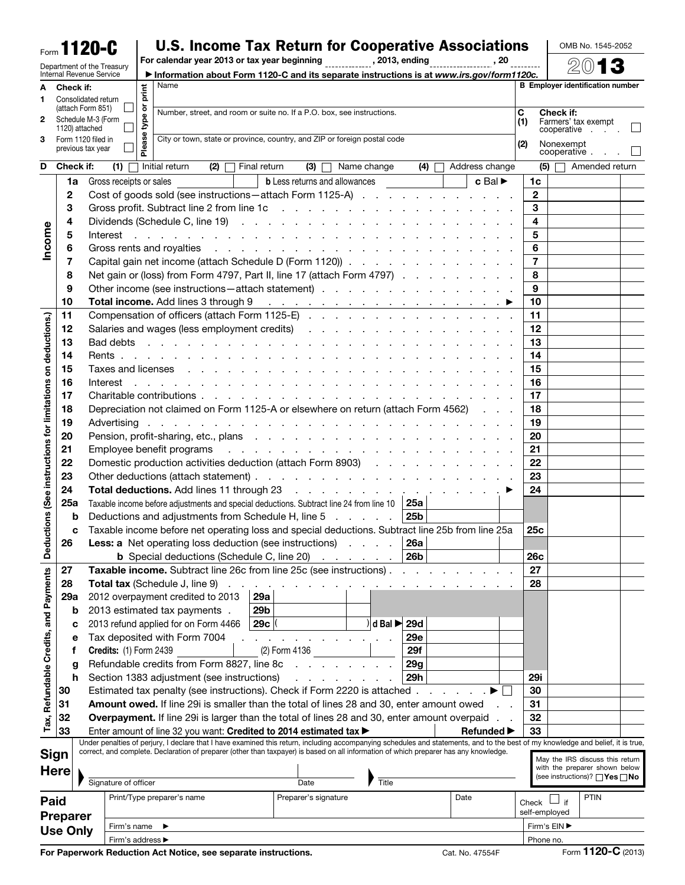## Form 1120-C U.S. Income Tax Return for Cooperative Associations For calendar year 2013 or tax year beginning , 2013, ending , 20

OMB No. 1545-2052

|                                                |     | Department of the Treasury           |                               |        | For calendar year 2013 or tax year beginning [10011], 2013, ending                                                                                                                                                             |              |               |                                      |             |                                             |            |    |                               | . 20 |                |                           | 20                                       |  |
|------------------------------------------------|-----|--------------------------------------|-------------------------------|--------|--------------------------------------------------------------------------------------------------------------------------------------------------------------------------------------------------------------------------------|--------------|---------------|--------------------------------------|-------------|---------------------------------------------|------------|----|-------------------------------|------|----------------|---------------------------|------------------------------------------|--|
|                                                |     | Internal Revenue Service             |                               |        | Information about Form 1120-C and its separate instructions is at www.irs.gov/form1120c.                                                                                                                                       |              |               |                                      |             |                                             |            |    |                               |      |                |                           |                                          |  |
| A                                              |     | Check if:                            |                               |        | Name                                                                                                                                                                                                                           |              |               |                                      |             |                                             |            |    |                               |      |                |                           | <b>B</b> Emplover identification number  |  |
| 1                                              |     | Consolidated return                  |                               | print  |                                                                                                                                                                                                                                |              |               |                                      |             |                                             |            |    |                               |      |                |                           |                                          |  |
|                                                |     | (attach Form 851)                    |                               | ৯      | Number, street, and room or suite no. If a P.O. box, see instructions.                                                                                                                                                         |              |               |                                      |             |                                             |            |    |                               |      | C              | Check if:                 |                                          |  |
| 2                                              |     | Schedule M-3 (Form<br>1120) attached |                               | type   |                                                                                                                                                                                                                                |              |               |                                      |             |                                             |            |    |                               |      | (1)            |                           | Farmers' tax exempt                      |  |
| 3                                              |     | Form 1120 filed in                   |                               |        | City or town, state or province, country, and ZIP or foreign postal code                                                                                                                                                       |              |               |                                      |             |                                             |            |    |                               |      |                |                           | cooperative                              |  |
|                                                |     | previous tax year                    |                               | Please |                                                                                                                                                                                                                                |              |               |                                      |             |                                             |            |    |                               |      | (2)            | Nonexempt<br>cooperative. |                                          |  |
| D                                              |     | Check if:                            | (1)                           |        | Initial return<br>(2)<br>$\vert \ \ \vert$                                                                                                                                                                                     | Final return |               | (3)                                  | Name change |                                             | (4)        |    | Address change                |      |                | (5)                       | Amended return                           |  |
|                                                | 1a  |                                      | Gross receipts or sales       |        |                                                                                                                                                                                                                                |              |               | <b>b</b> Less returns and allowances |             |                                             |            |    | $c$ Bal $\blacktriangleright$ |      | 1c             |                           |                                          |  |
|                                                |     |                                      |                               |        |                                                                                                                                                                                                                                |              |               |                                      |             |                                             |            |    |                               |      | $\mathbf{2}$   |                           |                                          |  |
|                                                | 2   |                                      |                               |        | Cost of goods sold (see instructions - attach Form 1125-A)                                                                                                                                                                     |              |               |                                      |             |                                             |            |    |                               |      |                |                           |                                          |  |
|                                                | 3   |                                      |                               |        | Gross profit. Subtract line 2 from line 1c in the state of the state of the state of the state of the state of the state of the state of the state of the state of the state of the state of the state of the state of the sta |              |               |                                      |             |                                             |            |    |                               |      | 3              |                           |                                          |  |
|                                                | 4   |                                      |                               |        | Dividends (Schedule C, line 19) (except of the contract of the contract of the contract of the contract of the contract of the contract of the contract of the contract of the contract of the contract of the contract of the |              |               |                                      |             |                                             |            |    |                               |      | 4              |                           |                                          |  |
|                                                | 5   |                                      | Interest                      |        | and the contract of the contract of the contract of the contract of the contract of the contract of the contract of the contract of the contract of the contract of the contract of the contract of the contract of the contra |              |               |                                      |             |                                             |            |    |                               |      | 5              |                           |                                          |  |
| Income                                         | 6   |                                      |                               |        |                                                                                                                                                                                                                                |              |               |                                      |             |                                             |            |    |                               |      | 6              |                           |                                          |  |
|                                                | 7   |                                      |                               |        | Capital gain net income (attach Schedule D (Form 1120))                                                                                                                                                                        |              |               |                                      |             |                                             |            |    |                               |      | $\overline{7}$ |                           |                                          |  |
|                                                | 8   |                                      |                               |        | Net gain or (loss) from Form 4797, Part II, line 17 (attach Form 4797)                                                                                                                                                         |              |               |                                      |             |                                             |            |    |                               |      | 8              |                           |                                          |  |
|                                                | 9   |                                      |                               |        | Other income (see instructions - attach statement)                                                                                                                                                                             |              |               |                                      |             |                                             |            |    |                               |      | 9              |                           |                                          |  |
|                                                | 10  |                                      |                               |        | Total income. Add lines 3 through 9 (Contract of Contract of Contract of Contract of Contract of Contract of Contract of Contract of Contract of Contract of Contract of Contract of Contract of Contract of Contract of Cont  |              |               |                                      |             |                                             |            |    |                               |      | 10             |                           |                                          |  |
|                                                | 11  |                                      |                               |        |                                                                                                                                                                                                                                |              |               |                                      |             |                                             |            |    |                               |      | 11             |                           |                                          |  |
| deductions.)                                   | 12  |                                      |                               |        |                                                                                                                                                                                                                                |              |               |                                      |             |                                             |            |    |                               |      | 12             |                           |                                          |  |
|                                                | 13  |                                      |                               |        |                                                                                                                                                                                                                                |              |               |                                      |             |                                             |            |    |                               |      | 13             |                           |                                          |  |
|                                                | 14  |                                      |                               |        |                                                                                                                                                                                                                                |              |               |                                      |             |                                             |            |    |                               |      | 14             |                           |                                          |  |
|                                                | 15  |                                      |                               |        | Taxes and licenses response to the contract of the contract of the contract of the contract of the contract of                                                                                                                 |              |               |                                      |             |                                             |            |    |                               |      | 15             |                           |                                          |  |
|                                                | 16  |                                      | Interest                      |        | and the contract of the contract of the contract of the contract of the contract of the contract of the contract of the contract of the contract of the contract of the contract of the contract of the contract of the contra |              |               |                                      |             |                                             |            |    |                               |      | 16             |                           |                                          |  |
|                                                | 17  |                                      |                               |        |                                                                                                                                                                                                                                |              |               |                                      |             |                                             |            |    |                               |      | 17             |                           |                                          |  |
|                                                | 18  |                                      |                               |        | Depreciation not claimed on Form 1125-A or elsewhere on return (attach Form 4562)                                                                                                                                              |              |               |                                      |             |                                             |            |    |                               |      | 18             |                           |                                          |  |
|                                                | 19  |                                      |                               |        |                                                                                                                                                                                                                                |              |               |                                      |             |                                             |            |    |                               |      | 19             |                           |                                          |  |
|                                                | 20  |                                      |                               |        |                                                                                                                                                                                                                                |              |               |                                      |             | 20                                          |            |    |                               |      |                |                           |                                          |  |
| eductions (See instructions for limitations on | 21  |                                      |                               |        |                                                                                                                                                                                                                                |              |               |                                      | 21          |                                             |            |    |                               |      |                |                           |                                          |  |
|                                                |     |                                      |                               |        |                                                                                                                                                                                                                                |              |               |                                      |             |                                             |            |    |                               |      | 22             |                           |                                          |  |
|                                                | 22  |                                      |                               |        | Domestic production activities deduction (attach Form 8903)                                                                                                                                                                    |              |               |                                      |             |                                             |            |    |                               |      |                |                           |                                          |  |
|                                                | 23  |                                      |                               |        |                                                                                                                                                                                                                                |              |               |                                      |             |                                             |            | 23 |                               |      |                |                           |                                          |  |
|                                                | 24  |                                      |                               |        |                                                                                                                                                                                                                                |              |               |                                      |             |                                             |            |    |                               |      | 24             |                           |                                          |  |
|                                                | 25a |                                      |                               |        | Taxable income before adjustments and special deductions. Subtract line 24 from line 10   25a                                                                                                                                  |              |               |                                      |             |                                             |            |    |                               |      |                |                           |                                          |  |
|                                                |     | b                                    |                               |        | Deductions and adjustments from Schedule H, line 5                                                                                                                                                                             |              |               |                                      |             |                                             | 25b        |    |                               |      |                |                           |                                          |  |
|                                                |     | c                                    |                               |        | Taxable income before net operating loss and special deductions. Subtract line 25b from line 25a                                                                                                                               |              |               |                                      |             |                                             |            |    |                               |      | 25c            |                           |                                          |  |
|                                                | 26  |                                      |                               |        | Less: a Net operating loss deduction (see instructions)                                                                                                                                                                        |              |               |                                      |             |                                             | <b>26a</b> |    |                               |      |                |                           |                                          |  |
|                                                |     |                                      |                               |        | <b>b</b> Special deductions (Schedule C, line 20) $\ldots$ $\ldots$                                                                                                                                                            |              |               |                                      |             |                                             | 26b        |    |                               |      | <b>26c</b>     |                           |                                          |  |
|                                                | 27  |                                      |                               |        | Taxable income. Subtract line 26c from line 25c (see instructions).                                                                                                                                                            |              |               |                                      |             |                                             |            |    |                               |      | 27             |                           |                                          |  |
|                                                | 28  |                                      |                               |        | <b>Total tax (Schedule J, line 9)</b>                                                                                                                                                                                          |              |               |                                      |             |                                             |            |    |                               |      | 28             |                           |                                          |  |
|                                                | 29a |                                      |                               |        | 2012 overpayment credited to 2013                                                                                                                                                                                              | 29a          |               |                                      |             |                                             |            |    |                               |      |                |                           |                                          |  |
|                                                |     | b                                    |                               |        | 2013 estimated tax payments.                                                                                                                                                                                                   | 29b          |               |                                      |             |                                             |            |    |                               |      |                |                           |                                          |  |
|                                                |     | c                                    |                               |        | 2013 refund applied for on Form 4466                                                                                                                                                                                           | 29c          |               |                                      |             | $\parallel$ d Bal $\blacktriangleright$ 29d |            |    |                               |      |                |                           |                                          |  |
|                                                |     | е                                    |                               |        | Tax deposited with Form 7004                                                                                                                                                                                                   |              |               |                                      |             |                                             | 29e        |    |                               |      |                |                           |                                          |  |
|                                                |     | Ť                                    | <b>Credits: (1) Form 2439</b> |        |                                                                                                                                                                                                                                |              | (2) Form 4136 |                                      |             |                                             | 29f        |    |                               |      |                |                           |                                          |  |
|                                                |     | g                                    |                               |        | Refundable credits from Form 8827, line 8c                                                                                                                                                                                     |              |               |                                      |             |                                             | 29g        |    |                               |      |                |                           |                                          |  |
|                                                |     | h                                    |                               |        | Section 1383 adjustment (see instructions)                                                                                                                                                                                     |              |               | and a strong control of              |             |                                             | 29h        |    |                               |      | 29i            |                           |                                          |  |
| Tax, Refundable Credits, and Payments          | 30  |                                      |                               |        | Estimated tax penalty (see instructions). Check if Form 2220 is attached.                                                                                                                                                      |              |               |                                      |             |                                             |            |    | and the control               |      | 30             |                           |                                          |  |
|                                                | 31  |                                      |                               |        | Amount owed. If line 29i is smaller than the total of lines 28 and 30, enter amount owed                                                                                                                                       |              |               |                                      |             |                                             |            |    |                               |      | 31             |                           |                                          |  |
|                                                | 32  |                                      |                               |        | Overpayment. If line 29i is larger than the total of lines 28 and 30, enter amount overpaid                                                                                                                                    |              |               |                                      |             |                                             |            |    |                               |      | 32             |                           |                                          |  |
|                                                | 33  |                                      |                               |        | Enter amount of line 32 you want: Credited to 2014 estimated tax >                                                                                                                                                             |              |               |                                      |             |                                             |            |    | <b>Refunded</b> ▶             |      | 33             |                           |                                          |  |
|                                                |     |                                      |                               |        | Under penalties of perjury, I declare that I have examined this return, including accompanying schedules and statements, and to the best of my knowledge and belief, it is true                                                |              |               |                                      |             |                                             |            |    |                               |      |                |                           |                                          |  |
| Sign                                           |     |                                      |                               |        | correct, and complete. Declaration of preparer (other than taxpayer) is based on all information of which preparer has any knowledge.                                                                                          |              |               |                                      |             |                                             |            |    |                               |      |                |                           | May the IRS discuss this return          |  |
| <b>Here</b>                                    |     |                                      |                               |        |                                                                                                                                                                                                                                |              |               |                                      |             |                                             |            |    |                               |      |                |                           | with the preparer shown below            |  |
|                                                |     |                                      | Signature of officer          |        |                                                                                                                                                                                                                                |              |               | Date                                 |             | Title                                       |            |    |                               |      |                |                           | (see instructions)? $\Box$ Yes $\Box$ No |  |
|                                                |     |                                      |                               |        | Print/Type preparer's name                                                                                                                                                                                                     |              |               | Preparer's signature                 |             |                                             |            |    | Date                          |      |                |                           | <b>PTIN</b>                              |  |
| Paid                                           |     |                                      |                               |        |                                                                                                                                                                                                                                |              |               |                                      |             |                                             |            |    |                               |      | $Check$ $\Box$ | if                        |                                          |  |
|                                                |     | <b>Preparer</b>                      |                               |        |                                                                                                                                                                                                                                |              |               |                                      |             |                                             |            |    |                               |      |                | self-employed             |                                          |  |
|                                                |     | <b>Use Only</b>                      | Firm's name                   |        | ▶                                                                                                                                                                                                                              |              |               |                                      |             |                                             |            |    |                               |      |                | Firm's EIN ▶              |                                          |  |
|                                                |     |                                      | Firm's address ▶              |        |                                                                                                                                                                                                                                |              |               |                                      |             |                                             |            |    |                               |      |                | Phone no.                 |                                          |  |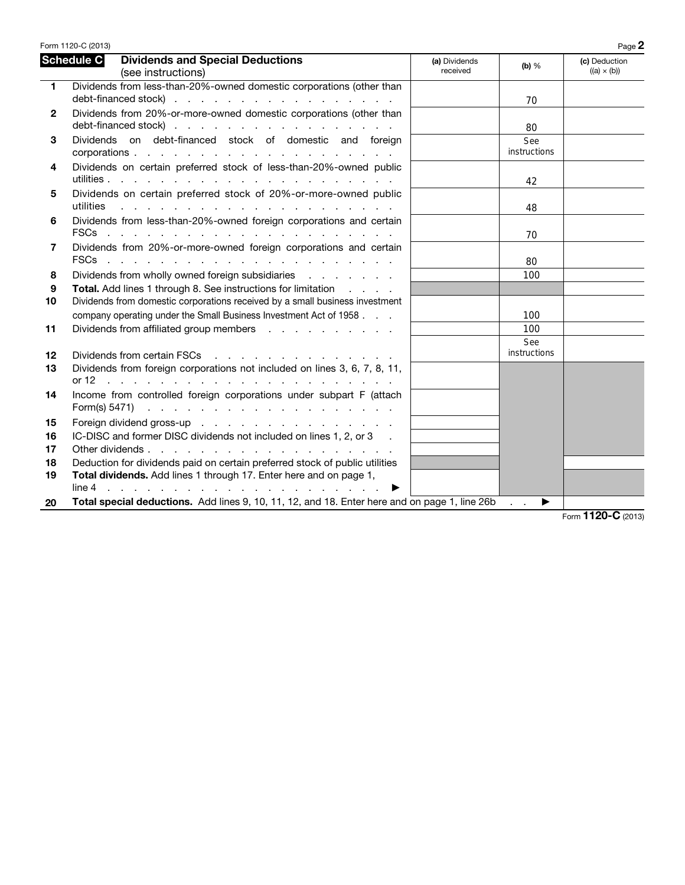|              | Form 1120-C (2013)                                                                                                                                                                                                                                            |                           |                     | Page 2                              |
|--------------|---------------------------------------------------------------------------------------------------------------------------------------------------------------------------------------------------------------------------------------------------------------|---------------------------|---------------------|-------------------------------------|
|              | Schedule C<br><b>Dividends and Special Deductions</b><br>(see instructions)                                                                                                                                                                                   | (a) Dividends<br>received | $(b)$ %             | (c) Deduction<br>$((a) \times (b))$ |
| $\mathbf{1}$ | Dividends from less-than-20%-owned domestic corporations (other than                                                                                                                                                                                          |                           |                     |                                     |
|              | debt-financed stock)                                                                                                                                                                                                                                          |                           | 70                  |                                     |
| $\mathbf{2}$ | Dividends from 20%-or-more-owned domestic corporations (other than                                                                                                                                                                                            |                           |                     |                                     |
|              | debt-financed stock)                                                                                                                                                                                                                                          |                           | 80                  |                                     |
| 3            | Dividends on debt-financed stock of domestic and foreign                                                                                                                                                                                                      |                           | See<br>instructions |                                     |
| 4            | Dividends on certain preferred stock of less-than-20%-owned public                                                                                                                                                                                            |                           |                     |                                     |
|              |                                                                                                                                                                                                                                                               |                           | 42                  |                                     |
| 5            | Dividends on certain preferred stock of 20%-or-more-owned public                                                                                                                                                                                              |                           |                     |                                     |
|              | utilities                                                                                                                                                                                                                                                     |                           | 48                  |                                     |
| 6            | Dividends from less-than-20%-owned foreign corporations and certain                                                                                                                                                                                           |                           |                     |                                     |
|              |                                                                                                                                                                                                                                                               |                           | 70                  |                                     |
| 7            | Dividends from 20%-or-more-owned foreign corporations and certain                                                                                                                                                                                             |                           |                     |                                     |
|              | <b>FSCs</b><br>and the contract of the contract of the contract of the contract of the contract of the contract of the contract of the contract of the contract of the contract of the contract of the contract of the contract of the contra                 |                           | 80                  |                                     |
| 8            | Dividends from wholly owned foreign subsidiaries                                                                                                                                                                                                              |                           | 100                 |                                     |
| 9            | <b>Total.</b> Add lines 1 through 8. See instructions for limitation                                                                                                                                                                                          |                           |                     |                                     |
| 10           | Dividends from domestic corporations received by a small business investment                                                                                                                                                                                  |                           |                     |                                     |
|              | company operating under the Small Business Investment Act of 1958                                                                                                                                                                                             |                           | 100                 |                                     |
| 11           | Dividends from affiliated group members                                                                                                                                                                                                                       |                           | 100                 |                                     |
|              |                                                                                                                                                                                                                                                               |                           | See                 |                                     |
| 12           | Dividends from certain FSCs<br>and the company of the company of the company of the company of the company of the company of the company of the company of the company of the company of the company of the company of the company of the company of the comp |                           | instructions        |                                     |
| 13           | Dividends from foreign corporations not included on lines 3, 6, 7, 8, 11,                                                                                                                                                                                     |                           |                     |                                     |
|              | or 12<br>the contract of the contract of the contract of the contract of the contract of the contract of the contract of                                                                                                                                      |                           |                     |                                     |
| 14           | Income from controlled foreign corporations under subpart F (attach<br>Form(s) 5471) $\cdots$ $\cdots$ $\cdots$ $\cdots$ $\cdots$ $\cdots$ $\cdots$ $\cdots$ $\cdots$                                                                                         |                           |                     |                                     |
| 15           | Foreign dividend gross-up                                                                                                                                                                                                                                     |                           |                     |                                     |
| 16           | IC-DISC and former DISC dividends not included on lines 1, 2, or 3                                                                                                                                                                                            |                           |                     |                                     |
| 17           |                                                                                                                                                                                                                                                               |                           |                     |                                     |
| 18           | Deduction for dividends paid on certain preferred stock of public utilities                                                                                                                                                                                   |                           |                     |                                     |
| 19           | Total dividends. Add lines 1 through 17. Enter here and on page 1,                                                                                                                                                                                            |                           |                     |                                     |
|              |                                                                                                                                                                                                                                                               |                           |                     |                                     |
| 20           | Total special deductions. Add lines 9, 10, 11, 12, and 18. Enter here and on page 1, line 26b                                                                                                                                                                 |                           | ▶                   |                                     |
|              |                                                                                                                                                                                                                                                               |                           |                     | $F_{\text{O}}$ 1120-C (2013)        |

Form 1120-C (2013)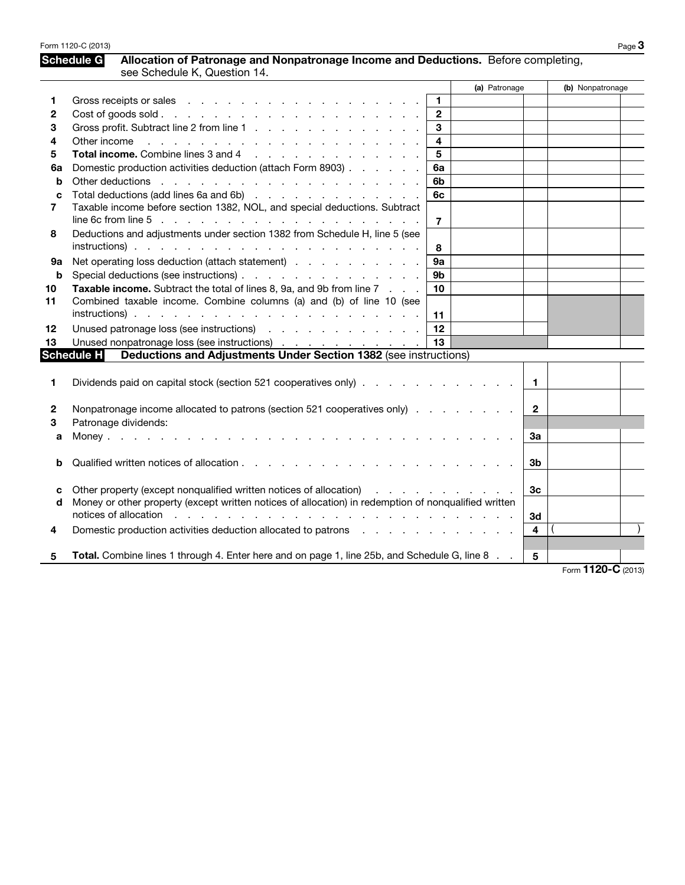| Form 1120-C (2013) | Page 3 |
|--------------------|--------|
|--------------------|--------|

## Schedule G Allocation of Patronage and Nonpatronage Income and Deductions. Before completing, see Schedule K, Question 14.

|        |                                                                                                                                                                                                                                | (a) Patronage           |                         | (b) Nonpatronage   |  |
|--------|--------------------------------------------------------------------------------------------------------------------------------------------------------------------------------------------------------------------------------|-------------------------|-------------------------|--------------------|--|
|        | Gross receipts or sales entering the series and series and series and series are series and series are series                                                                                                                  | $\mathbf{1}$            |                         |                    |  |
| 2      |                                                                                                                                                                                                                                | $\overline{2}$          |                         |                    |  |
| 3      | Gross profit. Subtract line 2 from line 1                                                                                                                                                                                      | 3                       |                         |                    |  |
| 4      | Other income enterprise and a series and a series and a series of the series of the series of the series of the series of the series of the series of the series of the series of the series of the series of the series of th | $\overline{\mathbf{4}}$ |                         |                    |  |
| 5      | Total income. Combine lines 3 and 4                                                                                                                                                                                            | 5                       |                         |                    |  |
| 6a     | Domestic production activities deduction (attach Form 8903)                                                                                                                                                                    | 6a                      |                         |                    |  |
| b      |                                                                                                                                                                                                                                | 6b                      |                         |                    |  |
| C      | Total deductions (add lines 6a and 6b)                                                                                                                                                                                         | 6с                      |                         |                    |  |
| 7      | Taxable income before section 1382, NOL, and special deductions. Subtract                                                                                                                                                      |                         |                         |                    |  |
|        | line 6c from line $5 \ldots \ldots \ldots \ldots \ldots \ldots \ldots \ldots \ldots \ldots$                                                                                                                                    | 7                       |                         |                    |  |
| 8      | Deductions and adjustments under section 1382 from Schedule H, line 5 (see                                                                                                                                                     |                         |                         |                    |  |
|        |                                                                                                                                                                                                                                | 8                       |                         |                    |  |
| 9а     | Net operating loss deduction (attach statement)                                                                                                                                                                                | 9а                      |                         |                    |  |
| b      | Special deductions (see instructions)                                                                                                                                                                                          | 9 <sub>b</sub>          |                         |                    |  |
| 10     | Taxable income. Subtract the total of lines 8, 9a, and 9b from line 7                                                                                                                                                          | 10                      |                         |                    |  |
| 11     | Combined taxable income. Combine columns (a) and (b) of line 10 (see                                                                                                                                                           |                         |                         |                    |  |
|        |                                                                                                                                                                                                                                | 11                      |                         |                    |  |
| 12     | Unused patronage loss (see instructions)                                                                                                                                                                                       | 12                      |                         |                    |  |
| 13     | Unused nonpatronage loss (see instructions)                                                                                                                                                                                    | 13                      |                         |                    |  |
|        | <b>Schedule H</b><br>Deductions and Adjustments Under Section 1382 (see instructions)                                                                                                                                          |                         |                         |                    |  |
|        |                                                                                                                                                                                                                                |                         |                         |                    |  |
| 1      | Dividends paid on capital stock (section 521 cooperatives only)                                                                                                                                                                |                         | $\mathbf{1}$            |                    |  |
|        |                                                                                                                                                                                                                                |                         |                         |                    |  |
| 2      | Nonpatronage income allocated to patrons (section 521 cooperatives only)                                                                                                                                                       |                         | $\mathbf{2}$            |                    |  |
| 3      | Patronage dividends:                                                                                                                                                                                                           |                         |                         |                    |  |
| a      |                                                                                                                                                                                                                                |                         | За                      |                    |  |
|        |                                                                                                                                                                                                                                |                         |                         |                    |  |
| b      |                                                                                                                                                                                                                                |                         | 3b                      |                    |  |
|        | Other property (except nonqualified written notices of allocation)                                                                                                                                                             |                         | 3 <sub>c</sub>          |                    |  |
| c<br>d | Money or other property (except written notices of allocation) in redemption of nonqualified written                                                                                                                           | <u>.</u>                |                         |                    |  |
|        | notices of allocation response to the contract of the contract of allocation response to the contract of the contract of the contract of the contract of the contract of the contract of the contract of the contract of the c |                         | 3d                      |                    |  |
| 4      | Domestic production activities deduction allocated to patrons enters and contact the control of the Domestic production activities deduction allocated to patrons and contact the control of the control of the control of the |                         | $\overline{\mathbf{4}}$ |                    |  |
|        |                                                                                                                                                                                                                                |                         |                         |                    |  |
| 5      | Total. Combine lines 1 through 4. Enter here and on page 1, line 25b, and Schedule G, line 8                                                                                                                                   |                         | 5                       |                    |  |
|        |                                                                                                                                                                                                                                |                         |                         | Form 1120-C (2013) |  |

Form **1120-C** (2013)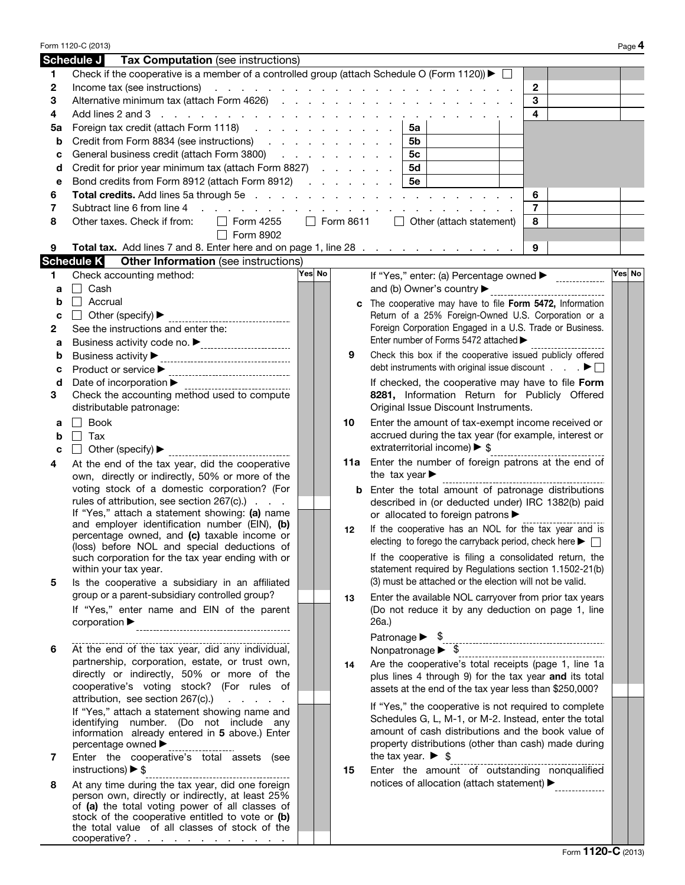|    | Form 1120-C (2013)                                                                                               |         |                  |                                                                                                   | Page 4 |
|----|------------------------------------------------------------------------------------------------------------------|---------|------------------|---------------------------------------------------------------------------------------------------|--------|
|    | Schedule J<br>Tax Computation (see instructions)                                                                 |         |                  |                                                                                                   |        |
| 1  | Check if the cooperative is a member of a controlled group (attach Schedule O (Form 1120)) $\blacktriangleright$ |         |                  |                                                                                                   |        |
| 2  | Income tax (see instructions)                                                                                    |         |                  | $\mathbf{2}$<br>the contract of the contract of the contract of the contract of the contract of   |        |
| 3  | Alternative minimum tax (attach Form 4626)                                                                       |         |                  | 3                                                                                                 |        |
| 4  | Add lines 2 and 3 $\ldots$ $\ldots$ $\ldots$ $\ldots$ $\ldots$ $\ldots$ $\ldots$ $\ldots$ $\ldots$ $\ldots$      |         |                  | 4                                                                                                 |        |
| 5a | Foreign tax credit (attach Form 1118)                                                                            |         |                  | 5a                                                                                                |        |
| b  | Credit from Form 8834 (see instructions)                                                                         |         |                  | 5b                                                                                                |        |
| с  | General business credit (attach Form 3800)                                                                       |         |                  | 5с                                                                                                |        |
| d  | Credit for prior year minimum tax (attach Form 8827)                                                             |         |                  | 5d                                                                                                |        |
| е  | Bond credits from Form 8912 (attach Form 8912)                                                                   |         |                  | 5е                                                                                                |        |
| 6  | <b>Total credits.</b> Add lines 5a through 5e                                                                    |         |                  | 6                                                                                                 |        |
| 7  | Subtract line 6 from line 4<br>and a state of the state<br><b>Contract Contract</b>                              |         |                  | $\overline{7}$                                                                                    |        |
| 8  | Other taxes. Check if from:<br>Form 4255<br>$\blacksquare$                                                       |         | $\Box$ Form 8611 | $\Box$ Other (attach statement)<br>8                                                              |        |
|    | Form 8902<br>$\blacksquare$                                                                                      |         |                  |                                                                                                   |        |
| 9  | Total tax. Add lines 7 and 8. Enter here and on page 1, line 28                                                  |         |                  | 9                                                                                                 |        |
|    | <b>Schedule K</b><br><b>Other Information</b> (see instructions)                                                 |         |                  |                                                                                                   |        |
|    |                                                                                                                  | Yes∣ No |                  |                                                                                                   | Yes No |
| 1  | Check accounting method:                                                                                         |         |                  | If "Yes," enter: (a) Percentage owned ▶ ______________                                            |        |
| a  | Cash<br>$\blacksquare$                                                                                           |         |                  | and (b) Owner's country                                                                           |        |
| b  | $\Box$ Accrual                                                                                                   |         |                  | c The cooperative may have to file Form 5472, Information                                         |        |
| c  | Other (specify) ▶<br>--------------------                                                                        |         |                  | Return of a 25% Foreign-Owned U.S. Corporation or a                                               |        |
| 2  | See the instructions and enter the:                                                                              |         |                  | Foreign Corporation Engaged in a U.S. Trade or Business.<br>Enter number of Forms 5472 attached > |        |
| а  |                                                                                                                  |         |                  |                                                                                                   |        |
| b  | Business activity $\blacktriangleright$                                                                          |         | 9                | Check this box if the cooperative issued publicly offered                                         |        |
| с  | Product or service ▶<br>----------------------------------                                                       |         |                  | debt instruments with original issue discount $\ldots$ .                                          |        |
| d  | Date of incorporation ▶                                                                                          |         |                  | If checked, the cooperative may have to file Form                                                 |        |
| 3  | Check the accounting method used to compute                                                                      |         |                  | 8281, Information Return for Publicly Offered                                                     |        |
|    | distributable patronage:                                                                                         |         |                  | Original Issue Discount Instruments.                                                              |        |
| а  | Book<br>$\vert \ \ \vert$                                                                                        |         | 10               | Enter the amount of tax-exempt income received or                                                 |        |
| b  | Tax<br>$\mathsf{L}$                                                                                              |         |                  | accrued during the tax year (for example, interest or                                             |        |
| C  | Other (specify) ▶                                                                                                |         |                  | extraterritorial income) ▶ \$                                                                     |        |
| 4  | At the end of the tax year, did the cooperative                                                                  |         | 11a              | Enter the number of foreign patrons at the end of                                                 |        |
|    | own, directly or indirectly, 50% or more of the                                                                  |         |                  | the tax year $\blacktriangleright$                                                                |        |
|    | voting stock of a domestic corporation? (For                                                                     |         | b                | Enter the total amount of patronage distributions                                                 |        |
|    | rules of attribution, see section 267(c).)                                                                       |         |                  | described in (or deducted under) IRC 1382(b) paid                                                 |        |
|    | If "Yes," attach a statement showing: (a) name<br>and employer identification number (EIN), (b)                  |         |                  | or allocated to foreign patrons ▶                                                                 |        |
|    | percentage owned, and (c) taxable income or                                                                      |         | 12               | If the cooperative has an NOL for the tax year and is                                             |        |
|    | (loss) before NOL and special deductions of                                                                      |         |                  | electing to forego the carryback period, check here $\blacktriangleright \Box$                    |        |
|    | such corporation for the tax year ending with or                                                                 |         |                  | If the cooperative is filing a consolidated return, the                                           |        |
|    | within your tax year.                                                                                            |         |                  | statement required by Regulations section 1.1502-21(b)                                            |        |
| 5  | Is the cooperative a subsidiary in an affiliated                                                                 |         |                  | (3) must be attached or the election will not be valid.                                           |        |
|    | group or a parent-subsidiary controlled group?                                                                   |         | 13               | Enter the available NOL carryover from prior tax years                                            |        |
|    | If "Yes," enter name and EIN of the parent                                                                       |         |                  | (Do not reduce it by any deduction on page 1, line                                                |        |
|    | $corporation$ $\blacktriangleright$                                                                              |         |                  | 26a.)                                                                                             |        |
|    |                                                                                                                  |         |                  | Nonpatronage > \$                                                                                 |        |
| 6  | At the end of the tax year, did any individual,                                                                  |         |                  |                                                                                                   |        |
|    | partnership, corporation, estate, or trust own,                                                                  |         | 14               | Are the cooperative's total receipts (page 1, line 1a                                             |        |
|    | directly or indirectly, 50% or more of the<br>cooperative's voting stock? (For rules of                          |         |                  | plus lines 4 through 9) for the tax year and its total                                            |        |
|    | attribution, see section $267(c)$ . $\ldots$ .                                                                   |         |                  | assets at the end of the tax year less than \$250,000?                                            |        |
|    | If "Yes," attach a statement showing name and                                                                    |         |                  | If "Yes," the cooperative is not required to complete                                             |        |
|    | identifying number. (Do not include any                                                                          |         |                  | Schedules G, L, M-1, or M-2. Instead, enter the total                                             |        |
|    | information already entered in 5 above.) Enter                                                                   |         |                  | amount of cash distributions and the book value of                                                |        |
|    | percentage owned ▶                                                                                               |         |                  | property distributions (other than cash) made during                                              |        |
| 7  | Enter the cooperative's total assets (see                                                                        |         |                  | the tax year. $\triangleright$ \$                                                                 |        |
|    | instructions) $\triangleright$ \$                                                                                |         | 15               | Enter the amount of outstanding nonqualified                                                      |        |
| 8  | At any time during the tax year, did one foreign                                                                 |         |                  | notices of allocation (attach statement) ▶                                                        |        |
|    | person own, directly or indirectly, at least 25%                                                                 |         |                  |                                                                                                   |        |
|    | of (a) the total voting power of all classes of<br>stock of the cooperative entitled to vote or (b)              |         |                  |                                                                                                   |        |
|    | the total value of all classes of stock of the                                                                   |         |                  |                                                                                                   |        |
|    | cooperative?                                                                                                     |         |                  |                                                                                                   |        |